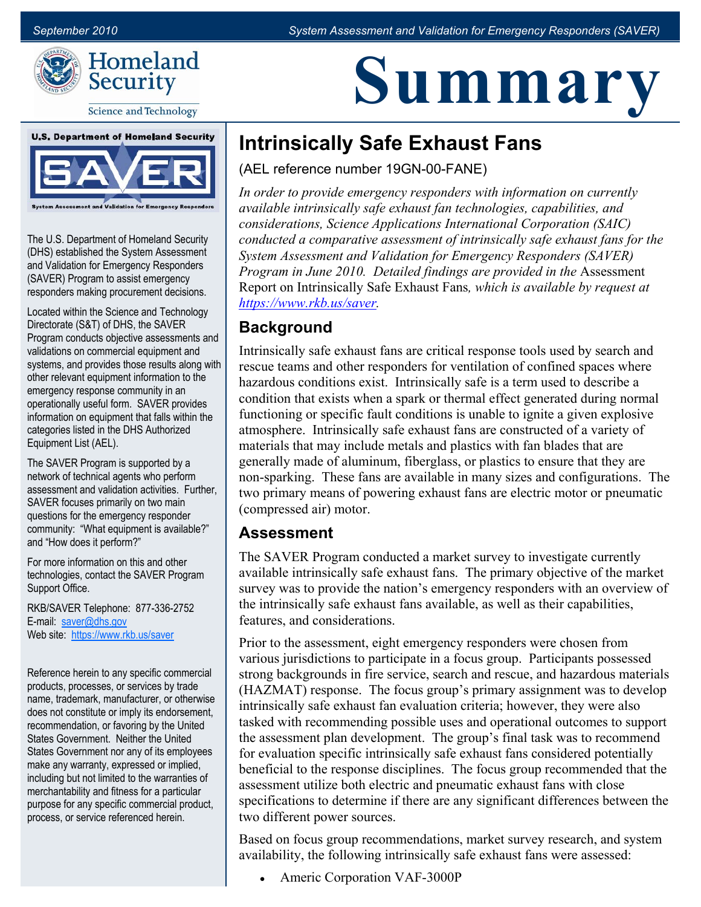**Summary**



**Science and Technology** 



The U.S. Department of Homeland Security (DHS) established the System Assessment and Validation for Emergency Responders (SAVER) Program to assist emergency responders making procurement decisions.

Located within the Science and Technology Directorate (S&T) of DHS, the SAVER Program conducts objective assessments and validations on commercial equipment and systems, and provides those results along with other relevant equipment information to the emergency response community in an operationally useful form. SAVER provides information on equipment that falls within the categories listed in the DHS Authorized Equipment List (AEL).

The SAVER Program is supported by a network of technical agents who perform assessment and validation activities. Further, SAVER focuses primarily on two main questions for the emergency responder community: "What equipment is available?" and "How does it perform?"

For more information on this and other technologies, contact the SAVER Program Support Office.

RKB/SAVER Telephone: 877-336-2752 E-mail: [saver@dhs.gov](mailto:saver@dhs.gov) Web site:<https://www.rkb.us/saver>

Reference herein to any specific commercial products, processes, or services by trade name, trademark, manufacturer, or otherwise does not constitute or imply its endorsement, recommendation, or favoring by the United States Government. Neither the United States Government nor any of its employees make any warranty, expressed or implied, including but not limited to the warranties of merchantability and fitness for a particular purpose for any specific commercial product, process, or service referenced herein.

# **Intrinsically Safe Exhaust Fans**

(AEL reference number 19GN-00-FANE)

*In order to provide emergency responders with information on currently available intrinsically safe exhaust fan technologies, capabilities, and considerations, Science Applications International Corporation (SAIC) conducted a comparative assessment of intrinsically safe exhaust fans for the System Assessment and Validation for Emergency Responders (SAVER) Program in June 2010. Detailed findings are provided in the* Assessment Report on Intrinsically Safe Exhaust Fans*, which is available by request at [https://www.rkb.us/saver.](https://www.rkb.us/saver)* 

# **Background**

Intrinsically safe exhaust fans are critical response tools used by search and rescue teams and other responders for ventilation of confined spaces where hazardous conditions exist. Intrinsically safe is a term used to describe a condition that exists when a spark or thermal effect generated during normal functioning or specific fault conditions is unable to ignite a given explosive atmosphere. Intrinsically safe exhaust fans are constructed of a variety of materials that may include metals and plastics with fan blades that are generally made of aluminum, fiberglass, or plastics to ensure that they are non-sparking. These fans are available in many sizes and configurations. The two primary means of powering exhaust fans are electric motor or pneumatic (compressed air) motor.

#### **Assessment**

The SAVER Program conducted a market survey to investigate currently available intrinsically safe exhaust fans. The primary objective of the market survey was to provide the nation's emergency responders with an overview of the intrinsically safe exhaust fans available, as well as their capabilities, features, and considerations.

Prior to the assessment, eight emergency responders were chosen from various jurisdictions to participate in a focus group. Participants possessed strong backgrounds in fire service, search and rescue, and hazardous materials (HAZMAT) response. The focus group's primary assignment was to develop intrinsically safe exhaust fan evaluation criteria; however, they were also tasked with recommending possible uses and operational outcomes to support the assessment plan development. The group's final task was to recommend for evaluation specific intrinsically safe exhaust fans considered potentially beneficial to the response disciplines. The focus group recommended that the assessment utilize both electric and pneumatic exhaust fans with close specifications to determine if there are any significant differences between the two different power sources.

Based on focus group recommendations, market survey research, and system availability, the following intrinsically safe exhaust fans were assessed:

Americ Corporation VAF-3000P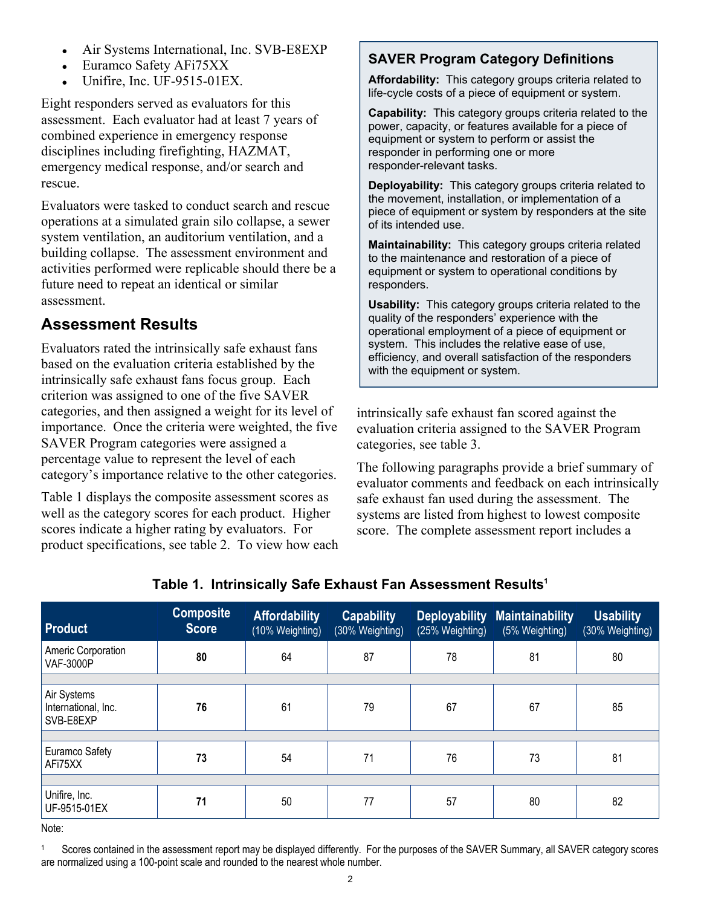- Air Systems International, Inc. SVB-E8EXP
- Euramco Safety AFi75XX
- Unifire, Inc. UF-9515-01EX.

Eight responders served as evaluators for this assessment. Each evaluator had at least 7 years of combined experience in emergency response disciplines including firefighting, HAZMAT, emergency medical response, and/or search and rescue.

Evaluators were tasked to conduct search and rescue operations at a simulated grain silo collapse, a sewer system ventilation, an auditorium ventilation, and a building collapse. The assessment environment and activities performed were replicable should there be a future need to repeat an identical or similar assessment.

#### **Assessment Results**

Evaluators rated the intrinsically safe exhaust fans based on the evaluation criteria established by the intrinsically safe exhaust fans focus group. Each criterion was assigned to one of the five SAVER categories, and then assigned a weight for its level of importance. Once the criteria were weighted, the five SAVER Program categories were assigned a percentage value to represent the level of each category's importance relative to the other categories.

Table 1 displays the composite assessment scores as well as the category scores for each product. Higher scores indicate a higher rating by evaluators. For product specifications, see table 2. To view how each

#### **SAVER Program Category Definitions**

 **Affordability:** This category groups criteria related to life-cycle costs of a piece of equipment or system.

 **Capability:** This category groups criteria related to the power, capacity, or features available for a piece of equipment or system to perform or assist the responder in performing one or more responder-relevant tasks.

 **Deployability:** This category groups criteria related to the movement, installation, or implementation of a piece of equipment or system by responders at the site of its intended use.

 **Maintainability:** This category groups criteria related to the maintenance and restoration of a piece of equipment or system to operational conditions by responders.

Usability: This category groups criteria related to the quality of the responders' experience with the operational employment of a piece of equipment or system. This includes the relative ease of use, efficiency, and overall satisfaction of the responders with the equipment or system.

intrinsically safe exhaust fan scored against the evaluation criteria assigned to the SAVER Program categories, see table 3.

The following paragraphs provide a brief summary of evaluator comments and feedback on each intrinsically safe exhaust fan used during the assessment. The systems are listed from highest to lowest composite score. The complete assessment report includes a

| <b>Product</b>                                  | <b>Composite</b><br><b>Score</b> | <b>Affordability</b><br>(10% Weighting) | <b>Capability</b><br>(30% Weighting) | <b>Deployability</b><br>(25% Weighting) | <b>Maintainability</b><br>(5% Weighting) | <b>Usability</b><br>(30% Weighting) |
|-------------------------------------------------|----------------------------------|-----------------------------------------|--------------------------------------|-----------------------------------------|------------------------------------------|-------------------------------------|
| Americ Corporation<br><b>VAF-3000P</b>          | 80                               | 64                                      | 87                                   | 78                                      | 81                                       | 80                                  |
|                                                 |                                  |                                         |                                      |                                         |                                          |                                     |
| Air Systems<br>International, Inc.<br>SVB-E8EXP | 76                               | 61                                      | 79                                   | 67                                      | 67                                       | 85                                  |
|                                                 |                                  |                                         |                                      |                                         |                                          |                                     |
| Euramco Safety<br>AFi75XX                       | 73                               | 54                                      | 71                                   | 76                                      | 73                                       | 81                                  |
|                                                 |                                  |                                         |                                      |                                         |                                          |                                     |
| Unifire, Inc.<br>UF-9515-01EX                   | 71                               | 50                                      | 77                                   | 57                                      | 80                                       | 82                                  |

#### **Table 1. Intrinsically Safe Exhaust Fan Assessment Results1**

Note:

Scores contained in the assessment report may be displayed differently. For the purposes of the SAVER Summary, all SAVER category scores are normalized using a 100-point scale and rounded to the nearest whole number. 1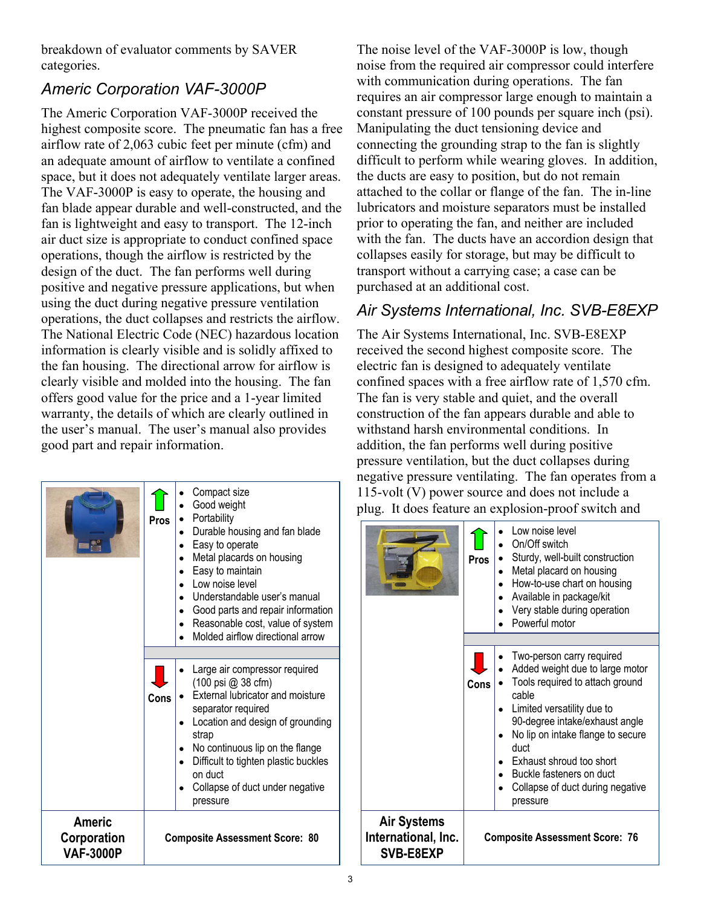breakdown of evaluator comments by SAVER categories.

# *Americ Corporation VAF-3000P*

The Americ Corporation VAF-3000P received the highest composite score. The pneumatic fan has a free airflow rate of 2,063 cubic feet per minute (cfm) and an adequate amount of airflow to ventilate a confined space, but it does not adequately ventilate larger areas. The VAF-3000P is easy to operate, the housing and fan blade appear durable and well-constructed, and the fan is lightweight and easy to transport. The 12-inch air duct size is appropriate to conduct confined space operations, though the airflow is restricted by the design of the duct. The fan performs well during positive and negative pressure applications, but when using the duct during negative pressure ventilation operations, the duct collapses and restricts the airflow. The National Electric Code (NEC) hazardous location information is clearly visible and is solidly affixed to the fan housing. The directional arrow for airflow is clearly visible and molded into the housing. The fan offers good value for the price and a 1-year limited warranty, the details of which are clearly outlined in the user's manual. The user's manual also provides good part and repair information.

|                                           | <b>Pros</b>                           | Compact size<br>Good weight<br>Portability<br>Durable housing and fan blade<br>Easy to operate<br>Metal placards on housing<br>Easy to maintain<br>Low noise level<br>Understandable user's manual<br>Good parts and repair information<br>Reasonable cost, value of system<br>Molded airflow directional arrow |  |
|-------------------------------------------|---------------------------------------|-----------------------------------------------------------------------------------------------------------------------------------------------------------------------------------------------------------------------------------------------------------------------------------------------------------------|--|
|                                           | Cons                                  | Large air compressor required<br>(100 psi @ 38 cfm)<br>External lubricator and moisture<br>separator required<br>Location and design of grounding<br>strap<br>No continuous lip on the flange<br>Difficult to tighten plastic buckles<br>on duct<br>Collapse of duct under negative<br>pressure                 |  |
| Americ<br>Corporation<br><b>VAF-3000P</b> | <b>Composite Assessment Score: 80</b> |                                                                                                                                                                                                                                                                                                                 |  |

The noise level of the VAF-3000P is low, though noise from the required air compressor could interfere with communication during operations. The fan requires an air compressor large enough to maintain a constant pressure of 100 pounds per square inch (psi). Manipulating the duct tensioning device and connecting the grounding strap to the fan is slightly difficult to perform while wearing gloves. In addition, the ducts are easy to position, but do not remain attached to the collar or flange of the fan. The in-line lubricators and moisture separators must be installed prior to operating the fan, and neither are included with the fan. The ducts have an accordion design that collapses easily for storage, but may be difficult to transport without a carrying case; a case can be purchased at an additional cost.

# *Air Systems International, Inc. SVB-E8EXP*

 confined spaces with a free airflow rate of 1,570 cfm. The fan is very stable and quiet, and the overall The Air Systems International, Inc. SVB-E8EXP received the second highest composite score. The electric fan is designed to adequately ventilate construction of the fan appears durable and able to withstand harsh environmental conditions. In addition, the fan performs well during positive pressure ventilation, but the duct collapses during negative pressure ventilating. The fan operates from a 115-volt (V) power source and does not include a plug. It does feature an explosion-proof switch and

|                                                        | <b>Pros</b> | Low noise level<br>On/Off switch<br>Sturdy, well-built construction<br>Metal placard on housing<br>How-to-use chart on housing<br>Available in package/kit<br>Very stable during operation<br>Powerful motor                                                                                                                  |
|--------------------------------------------------------|-------------|-------------------------------------------------------------------------------------------------------------------------------------------------------------------------------------------------------------------------------------------------------------------------------------------------------------------------------|
|                                                        |             |                                                                                                                                                                                                                                                                                                                               |
|                                                        | Cons        | Two-person carry required<br>Added weight due to large motor<br>Tools required to attach ground<br>cable<br>Limited versatility due to<br>90-degree intake/exhaust angle<br>No lip on intake flange to secure<br>duct<br>Exhaust shroud too short<br>Buckle fasteners on duct<br>Collapse of duct during negative<br>pressure |
| <b>Air Systems</b><br>International, Inc.<br>SVB-E8EXP |             | <b>Composite Assessment Score: 76</b>                                                                                                                                                                                                                                                                                         |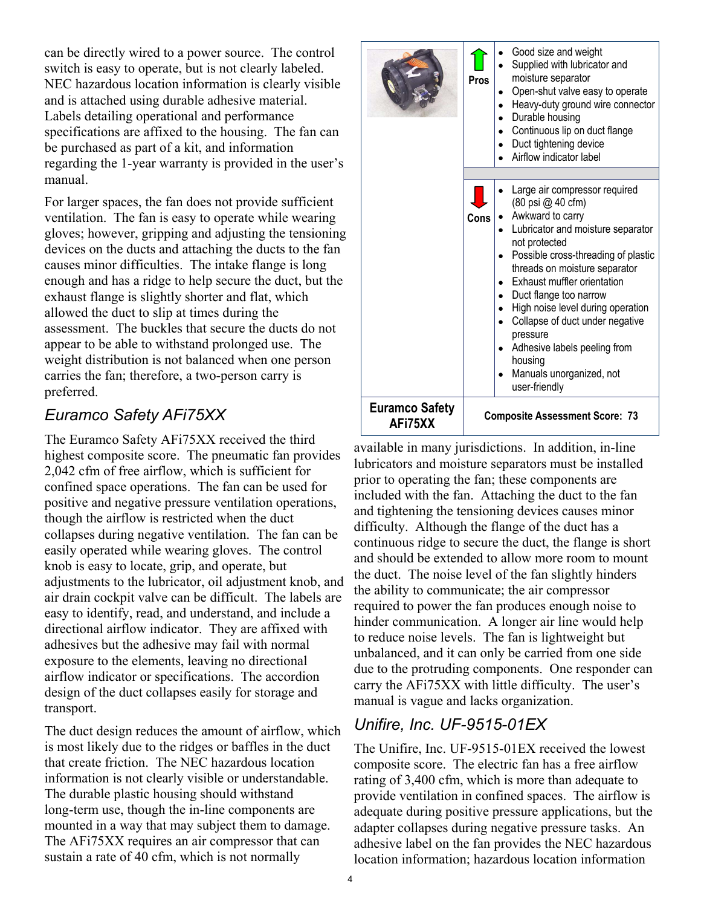can be directly wired to a power source. The control switch is easy to operate, but is not clearly labeled. NEC hazardous location information is clearly visible and is attached using durable adhesive material. Labels detailing operational and performance specifications are affixed to the housing. The fan can be purchased as part of a kit, and information regarding the 1-year warranty is provided in the user's manual.

For larger spaces, the fan does not provide sufficient ventilation. The fan is easy to operate while wearing gloves; however, gripping and adjusting the tensioning devices on the ducts and attaching the ducts to the fan causes minor difficulties. The intake flange is long enough and has a ridge to help secure the duct, but the exhaust flange is slightly shorter and flat, which allowed the duct to slip at times during the assessment. The buckles that secure the ducts do not appear to be able to withstand prolonged use. The weight distribution is not balanced when one person carries the fan; therefore, a two-person carry is preferred.

### *Euramco Safety AFi75XX*

The Euramco Safety AFi75XX received the third highest composite score. The pneumatic fan provides 2,042 cfm of free airflow, which is sufficient for confined space operations. The fan can be used for positive and negative pressure ventilation operations, though the airflow is restricted when the duct collapses during negative ventilation. The fan can be easily operated while wearing gloves. The control knob is easy to locate, grip, and operate, but adjustments to the lubricator, oil adjustment knob, and air drain cockpit valve can be difficult. The labels are easy to identify, read, and understand, and include a directional airflow indicator. They are affixed with adhesives but the adhesive may fail with normal exposure to the elements, leaving no directional airflow indicator or specifications. The accordion design of the duct collapses easily for storage and transport.

The duct design reduces the amount of airflow, which is most likely due to the ridges or baffles in the duct that create friction. The NEC hazardous location information is not clearly visible or understandable. The durable plastic housing should withstand long-term use, though the in-line components are mounted in a way that may subject them to damage. The AFi75XX requires an air compressor that can sustain a rate of 40 cfm, which is not normally

|                                  | Pros                                  | Good size and weight<br>Supplied with lubricator and<br>moisture separator<br>Open-shut valve easy to operate<br>$\bullet$<br>Heavy-duty ground wire connector<br>Durable housing<br>Continuous lip on duct flange<br>Duct tightening device<br>Airflow indicator label                                                                                                                                                                   |  |
|----------------------------------|---------------------------------------|-------------------------------------------------------------------------------------------------------------------------------------------------------------------------------------------------------------------------------------------------------------------------------------------------------------------------------------------------------------------------------------------------------------------------------------------|--|
|                                  | Cons                                  | Large air compressor required<br>(80 psi @ 40 cfm)<br>Awkward to carry<br>Lubricator and moisture separator<br>not protected<br>Possible cross-threading of plastic<br>threads on moisture separator<br>Exhaust muffler orientation<br>Duct flange too narrow<br>High noise level during operation<br>Collapse of duct under negative<br>pressure<br>Adhesive labels peeling from<br>housing<br>Manuals unorganized, not<br>user-friendly |  |
| <b>Euramco Safety</b><br>AFi75XX | <b>Composite Assessment Score: 73</b> |                                                                                                                                                                                                                                                                                                                                                                                                                                           |  |

available in many jurisdictions. In addition, in-line lubricators and moisture separators must be installed prior to operating the fan; these components are included with the fan. Attaching the duct to the fan and tightening the tensioning devices causes minor difficulty. Although the flange of the duct has a continuous ridge to secure the duct, the flange is short and should be extended to allow more room to mount the duct. The noise level of the fan slightly hinders the ability to communicate; the air compressor required to power the fan produces enough noise to hinder communication. A longer air line would help to reduce noise levels. The fan is lightweight but unbalanced, and it can only be carried from one side due to the protruding components. One responder can carry the AFi75XX with little difficulty. The user's manual is vague and lacks organization.

# *Unifire, Inc. UF-9515-01EX*

The Unifire, Inc. UF-9515-01EX received the lowest composite score. The electric fan has a free airflow rating of 3,400 cfm, which is more than adequate to provide ventilation in confined spaces. The airflow is adequate during positive pressure applications, but the adapter collapses during negative pressure tasks. An adhesive label on the fan provides the NEC hazardous location information; hazardous location information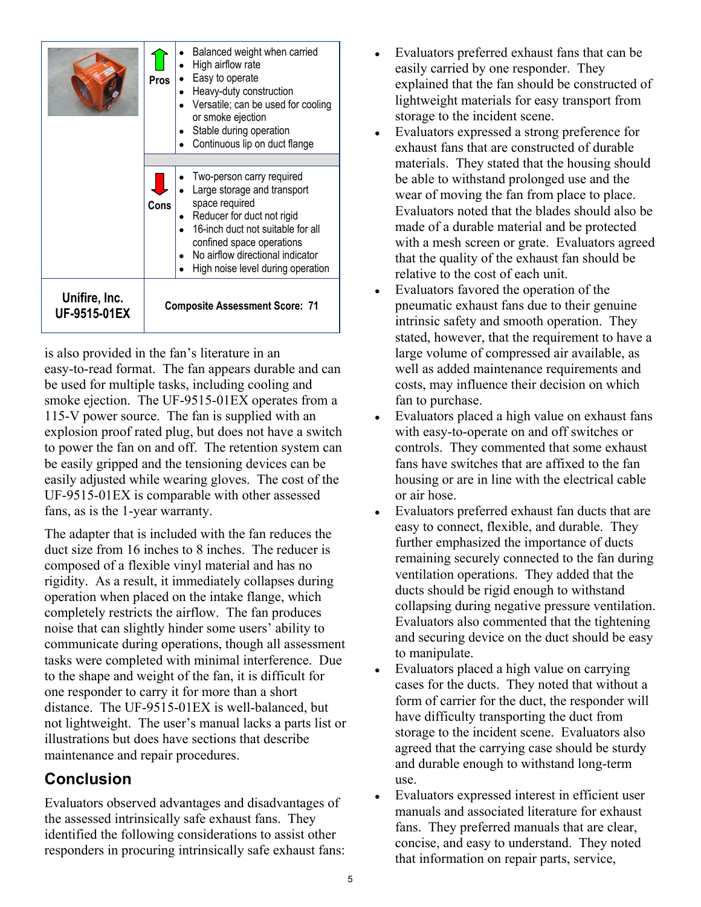|                               | <b>Pros</b>                           | Balanced weight when carried<br>High airflow rate<br>Easy to operate<br>Heavy-duty construction<br>Versatile; can be used for cooling<br>or smoke ejection<br>Stable during operation<br>Continuous lip on duct flange                              |  |
|-------------------------------|---------------------------------------|-----------------------------------------------------------------------------------------------------------------------------------------------------------------------------------------------------------------------------------------------------|--|
|                               | Cons                                  | Two-person carry required<br>Large storage and transport<br>space required<br>Reducer for duct not rigid<br>16-inch duct not suitable for all<br>confined space operations<br>No airflow directional indicator<br>High noise level during operation |  |
| Unifire, Inc.<br>UF-9515-01EX | <b>Composite Assessment Score: 71</b> |                                                                                                                                                                                                                                                     |  |

is also provided in the fan's literature in an easy-to-read format. The fan appears durable and can be used for multiple tasks, including cooling and smoke ejection. The UF-9515-01EX operates from a 115-V power source. The fan is supplied with an explosion proof rated plug, but does not have a switch to power the fan on and off. The retention system can be easily gripped and the tensioning devices can be easily adjusted while wearing gloves. The cost of the UF-9515-01EX is comparable with other assessed fans, as is the 1-year warranty.

The adapter that is included with the fan reduces the duct size from 16 inches to 8 inches. The reducer is composed of a flexible vinyl material and has no rigidity. As a result, it immediately collapses during operation when placed on the intake flange, which completely restricts the airflow. The fan produces noise that can slightly hinder some users' ability to communicate during operations, though all assessment tasks were completed with minimal interference. Due to the shape and weight of the fan, it is difficult for one responder to carry it for more than a short distance. The UF-9515-01EX is well-balanced, but not lightweight. The user's manual lacks a parts list or illustrations but does have sections that describe maintenance and repair procedures.

# **Conclusion**

Evaluators observed advantages and disadvantages of the assessed intrinsically safe exhaust fans. They identified the following considerations to assist other responders in procuring intrinsically safe exhaust fans:

- Evaluators preferred exhaust fans that can be easily carried by one responder. They explained that the fan should be constructed of lightweight materials for easy transport from storage to the incident scene.
- Evaluators expressed a strong preference for exhaust fans that are constructed of durable materials. They stated that the housing should be able to withstand prolonged use and the wear of moving the fan from place to place. Evaluators noted that the blades should also be made of a durable material and be protected with a mesh screen or grate. Evaluators agreed that the quality of the exhaust fan should be relative to the cost of each unit.
- Evaluators favored the operation of the pneumatic exhaust fans due to their genuine intrinsic safety and smooth operation. They stated, however, that the requirement to have a large volume of compressed air available, as well as added maintenance requirements and costs, may influence their decision on which fan to purchase.
- Evaluators placed a high value on exhaust fans with easy-to-operate on and off switches or controls. They commented that some exhaust fans have switches that are affixed to the fan housing or are in line with the electrical cable or air hose.
- Evaluators preferred exhaust fan ducts that are easy to connect, flexible, and durable. They further emphasized the importance of ducts remaining securely connected to the fan during ventilation operations. They added that the ducts should be rigid enough to withstand collapsing during negative pressure ventilation. Evaluators also commented that the tightening and securing device on the duct should be easy to manipulate.
- Evaluators placed a high value on carrying cases for the ducts. They noted that without a form of carrier for the duct, the responder will have difficulty transporting the duct from storage to the incident scene. Evaluators also agreed that the carrying case should be sturdy and durable enough to withstand long-term use.
- Evaluators expressed interest in efficient user manuals and associated literature for exhaust fans. They preferred manuals that are clear, concise, and easy to understand. They noted that information on repair parts, service,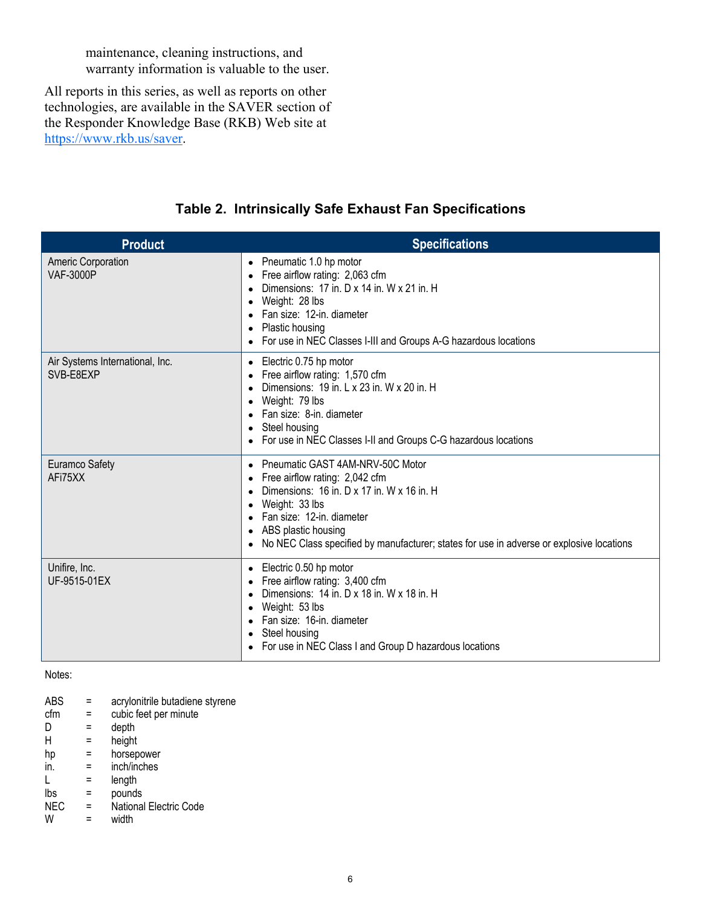maintenance, cleaning instructions, and warranty information is valuable to the user.

All reports in this series, as well as reports on other technologies, are available in the SAVER section of the Responder Knowledge Base (RKB) Web site at https://www.rkb.us/saver.

| <b>Product</b>                                | <b>Specifications</b>                                                                                                                                                                                                                                                                           |
|-----------------------------------------------|-------------------------------------------------------------------------------------------------------------------------------------------------------------------------------------------------------------------------------------------------------------------------------------------------|
| <b>Americ Corporation</b><br><b>VAF-3000P</b> | Pneumatic 1.0 hp motor<br>$\bullet$<br>Free airflow rating: 2,063 cfm<br>$\bullet$<br>Dimensions: 17 in. D x 14 in. W x 21 in. H<br>Weight: 28 lbs<br>Fan size: 12-in. diameter<br>Plastic housing<br>For use in NEC Classes I-III and Groups A-G hazardous locations                           |
| Air Systems International, Inc.<br>SVB-E8EXP  | Electric 0.75 hp motor<br>$\bullet$<br>Free airflow rating: 1,570 cfm<br>Dimensions: 19 in. L x 23 in. W x 20 in. H<br>Weight: 79 lbs<br>$\bullet$<br>Fan size: 8-in. diameter<br>Steel housing<br>For use in NEC Classes I-II and Groups C-G hazardous locations                               |
| Euramco Safety<br>AFi75XX                     | Pneumatic GAST 4AM-NRV-50C Motor<br>$\bullet$<br>Free airflow rating: 2,042 cfm<br>Dimensions: 16 in. D x 17 in. W x 16 in. H<br>Weight: 33 lbs<br>Fan size: 12-in. diameter<br>ABS plastic housing<br>No NEC Class specified by manufacturer; states for use in adverse or explosive locations |
| Unifire, Inc.<br>UF-9515-01EX                 | Electric 0.50 hp motor<br>$\bullet$<br>Free airflow rating: 3,400 cfm<br>Dimensions: 14 in. D x 18 in. W x 18 in. H<br>Weight: 53 lbs<br>$\bullet$<br>Fan size: 16-in. diameter<br>Steel housing<br>For use in NEC Class I and Group D hazardous locations                                      |

#### **Table 2. Intrinsically Safe Exhaust Fan Specifications**

#### Notes:

| <b>ABS</b> |     | acrylonitrile butadiene styrene |
|------------|-----|---------------------------------|
| cfm        |     | cubic feet per minute           |
| D          |     | depth                           |
| Н          | =   | height                          |
| hp         | $=$ | horsepower                      |
| in.        | $=$ | inch/inches                     |
|            |     | length                          |
| Ibs        | $=$ | pounds                          |
| <b>NEC</b> | Ξ   | <b>National Electric Code</b>   |
| W          |     | width                           |